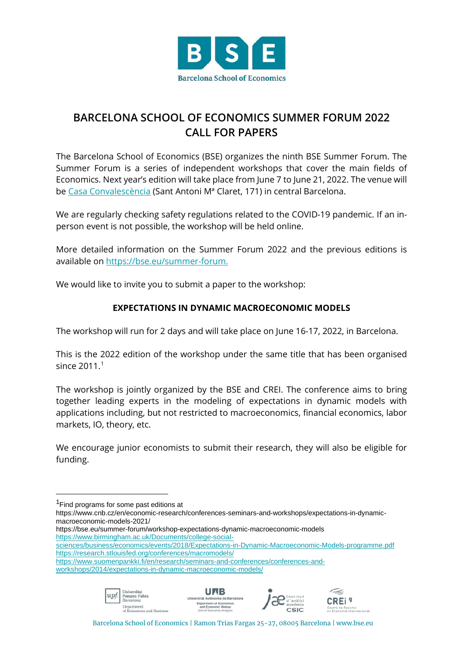

## **BARCELONA SCHOOL OF ECONOMICS SUMMER FORUM 2022 CALL FOR PAPERS**

The Barcelona School of Economics (BSE) organizes the ninth BSE Summer Forum. The Summer Forum is a series of independent workshops that cover the main fields of Economics. Next year's edition will take place from June 7 to June 21, 2022. The venue will be [Casa Convalescència](https://www.uab-casaconvalescencia.org/en/how-to-get-there.php) (Sant Antoni Mª Claret, 171) in central Barcelona.

We are regularly checking safety regulations related to the COVID-19 pandemic. If an inperson event is not possible, the workshop will be held online.

More detailed information on the Summer Forum 2022 and the previous editions is available on [https://bse.eu/summer-forum.](https://bse.eu/summer-forum)

We would like to invite you to submit a paper to the workshop:

## **EXPECTATIONS IN DYNAMIC MACROECONOMIC MODELS**

The workshop will run for 2 days and will take place on June 16-17, 2022, in Barcelona.

This is the 2022 edition of the workshop under the same title that has been organised since  $2011.<sup>1</sup>$  $2011.<sup>1</sup>$  $2011.<sup>1</sup>$ 

The workshop is jointly organized by the BSE and CREI. The conference aims to bring together leading experts in the modeling of expectations in dynamic models with applications including, but not restricted to macroeconomics, financial economics, labor markets, IO, theory, etc.

We encourage junior economists to submit their research, they will also be eligible for funding.

https://bse.eu/summer-forum/workshop-expectations-dynamic-macroeconomic-models [https://www.birmingham.ac.uk/Documents/college-social-](https://www.birmingham.ac.uk/Documents/college-social-sciences/business/economics/events/2018/Expectations-in-Dynamic-Macroeconomic-Models-programme.pdf)

[https://www.suomenpankki.fi/en/research/seminars-and-conferences/conferences-and-](https://www.suomenpankki.fi/en/research/seminars-and-conferences/conferences-and-workshops/2014/expectations-in-dynamic-macroeconomic-models/)

[workshops/2014/expectations-in-dynamic-macroeconomic-models/](https://www.suomenpankki.fi/en/research/seminars-and-conferences/conferences-and-workshops/2014/expectations-in-dynamic-macroeconomic-models/)









Barcelona School of Economics | Ramon Trias Fargas 25-27, 08005 Barcelona | www.bse.eu

<span id="page-0-0"></span><sup>&</sup>lt;sup>1</sup>Find programs for some past editions at

https://www.cnb.cz/en/economic-research/conferences-seminars-and-workshops/expectations-in-dynamicmacroeconomic-models-2021/

[sciences/business/economics/events/2018/Expectations-in-Dynamic-Macroeconomic-Models-programme.pdf](https://www.birmingham.ac.uk/Documents/college-social-sciences/business/economics/events/2018/Expectations-in-Dynamic-Macroeconomic-Models-programme.pdf) <https://research.stlouisfed.org/conferences/macromodels/>